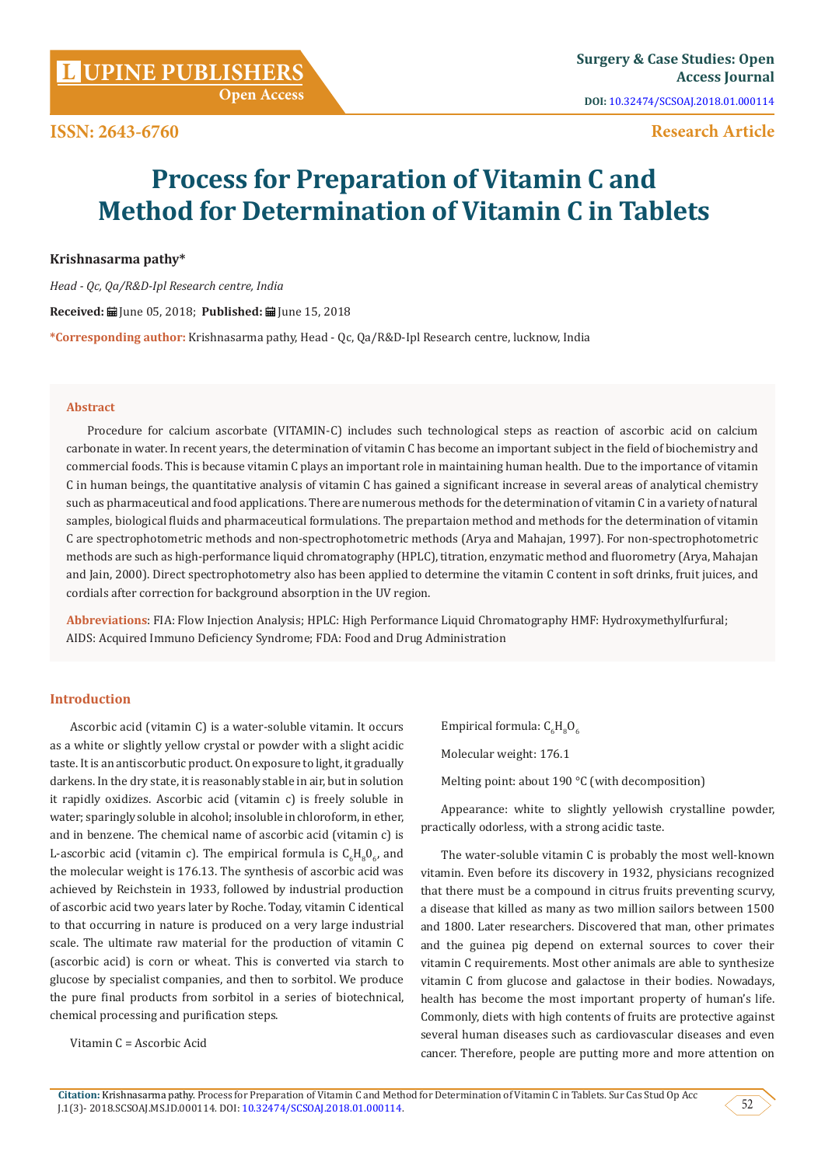# **Research Article**

# **Process for Preparation of Vitamin C and Method for Determination of Vitamin C in Tablets**

**Krishnasarma pathy\***

*Head - Qc, Qa/R&D-Ipl Research centre, India* 

**Received:** June 05, 2018; **Published:** June 15, 2018

**\*Corresponding author:** Krishnasarma pathy, Head - Qc, Qa/R&D-Ipl Research centre, lucknow, India

#### **Abstract**

Procedure for calcium ascorbate (VITAMIN-C) includes such technological steps as reaction of ascorbic acid on calcium carbonate in water. In recent years, the determination of vitamin C has become an important subject in the field of biochemistry and commercial foods. This is because vitamin C plays an important role in maintaining human health. Due to the importance of vitamin C in human beings, the quantitative analysis of vitamin C has gained a significant increase in several areas of analytical chemistry such as pharmaceutical and food applications. There are numerous methods for the determination of vitamin C in a variety of natural samples, biological fluids and pharmaceutical formulations. The prepartaion method and methods for the determination of vitamin C are spectrophotometric methods and non-spectrophotometric methods (Arya and Mahajan, 1997). For non-spectrophotometric methods are such as high-performance liquid chromatography (HPLC), titration, enzymatic method and fluorometry (Arya, Mahajan and Jain, 2000). Direct spectrophotometry also has been applied to determine the vitamin C content in soft drinks, fruit juices, and cordials after correction for background absorption in the UV region.

**Abbreviations**: FIA: Flow Injection Analysis; HPLC: High Performance Liquid Chromatography HMF: Hydroxymethylfurfural; AIDS: Acquired Immuno Deficiency Syndrome; FDA: Food and Drug Administration

## **Introduction**

Ascorbic acid (vitamin C) is a water-soluble vitamin. It occurs as a white or slightly yellow crystal or powder with a slight acidic taste. It is an antiscorbutic product. On exposure to light, it gradually darkens. In the dry state, it is reasonably stable in air, but in solution it rapidly oxidizes. Ascorbic acid (vitamin c) is freely soluble in water; sparingly soluble in alcohol; insoluble in chloroform, in ether, and in benzene. The chemical name of ascorbic acid (vitamin c) is L-ascorbic acid (vitamin c). The empirical formula is  $C_6H_8O_{6}$ , and the molecular weight is 176.13. The synthesis of ascorbic acid was achieved by Reichstein in 1933, followed by industrial production of ascorbic acid two years later by Roche. Today, vitamin C identical to that occurring in nature is produced on a very large industrial scale. The ultimate raw material for the production of vitamin C (ascorbic acid) is corn or wheat. This is converted via starch to glucose by specialist companies, and then to sorbitol. We produce the pure final products from sorbitol in a series of biotechnical, chemical processing and purification steps.

Vitamin C = Ascorbic Acid

Empirical formula:  $C_6H_8O_6$ 

Molecular weight: 176.1

Melting point: about 190 °C (with decomposition)

Appearance: white to slightly yellowish crystalline powder, practically odorless, with a strong acidic taste.

The water-soluble vitamin C is probably the most well-known vitamin. Even before its discovery in 1932, physicians recognized that there must be a compound in citrus fruits preventing scurvy, a disease that killed as many as two million sailors between 1500 and 1800. Later researchers. Discovered that man, other primates and the guinea pig depend on external sources to cover their vitamin C requirements. Most other animals are able to synthesize vitamin C from glucose and galactose in their bodies. Nowadays, health has become the most important property of human's life. Commonly, diets with high contents of fruits are protective against several human diseases such as cardiovascular diseases and even cancer. Therefore, people are putting more and more attention on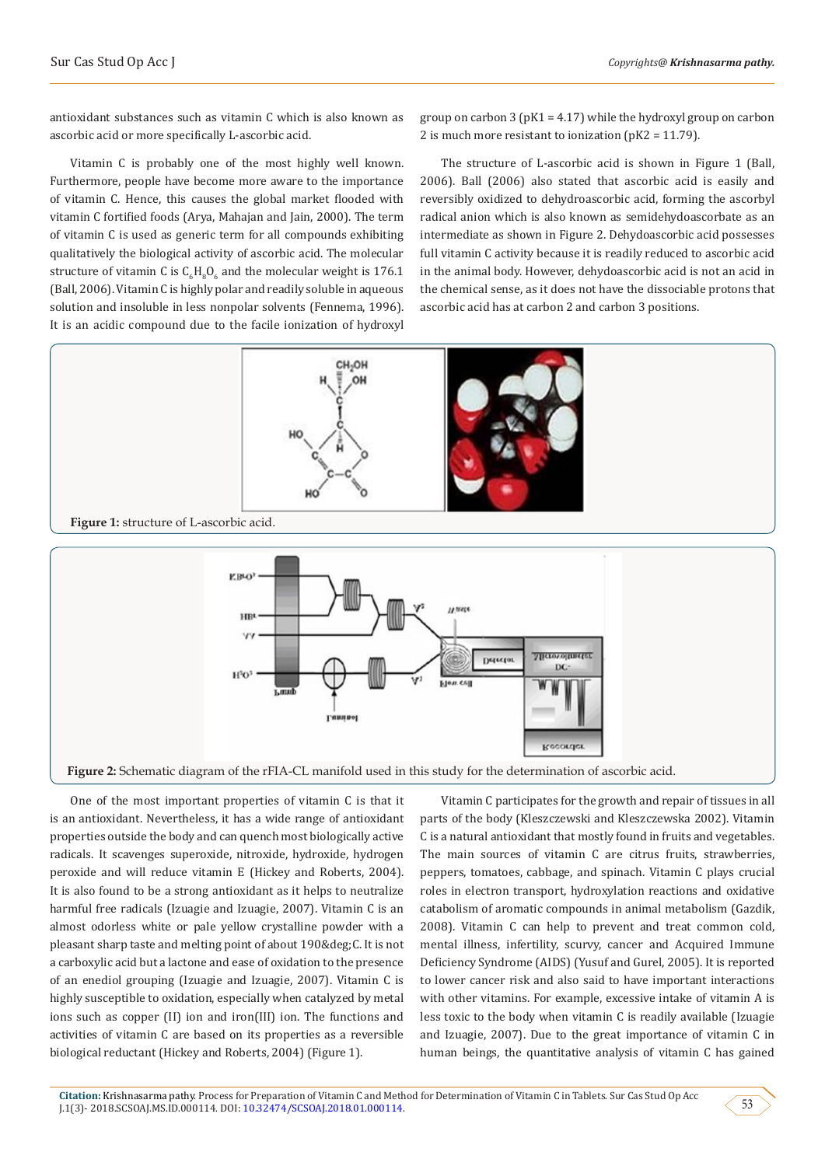antioxidant substances such as vitamin C which is also known as ascorbic acid or more specifically L-ascorbic acid.

Vitamin C is probably one of the most highly well known. Furthermore, people have become more aware to the importance of vitamin C. Hence, this causes the global market flooded with vitamin C fortified foods (Arya, Mahajan and Jain, 2000). The term of vitamin C is used as generic term for all compounds exhibiting qualitatively the biological activity of ascorbic acid. The molecular structure of vitamin C is  $C_6H_8O_6$  and the molecular weight is  $1/6.1$ (Ball, 2006). Vitamin C is highly polar and readily soluble in aqueous solution and insoluble in less nonpolar solvents (Fennema, 1996). It is an acidic compound due to the facile ionization of hydroxyl

group on carbon 3 ( $pK1 = 4.17$ ) while the hydroxyl group on carbon 2 is much more resistant to ionization (pK2 = 11.79).

The structure of L-ascorbic acid is shown in Figure 1 (Ball, 2006). Ball (2006) also stated that ascorbic acid is easily and reversibly oxidized to dehydroascorbic acid, forming the ascorbyl radical anion which is also known as semidehydoascorbate as an intermediate as shown in Figure 2. Dehydoascorbic acid possesses full vitamin C activity because it is readily reduced to ascorbic acid in the animal body. However, dehydoascorbic acid is not an acid in the chemical sense, as it does not have the dissociable protons that ascorbic acid has at carbon 2 and carbon 3 positions.



One of the most important properties of vitamin C is that it is an antioxidant. Nevertheless, it has a wide range of antioxidant properties outside the body and can quench most biologically active radicals. It scavenges superoxide, nitroxide, hydroxide, hydrogen peroxide and will reduce vitamin E (Hickey and Roberts, 2004). It is also found to be a strong antioxidant as it helps to neutralize harmful free radicals (Izuagie and Izuagie, 2007). Vitamin C is an almost odorless white or pale yellow crystalline powder with a pleasant sharp taste and melting point of about 190° C. It is not a carboxylic acid but a lactone and ease of oxidation to the presence of an enediol grouping (Izuagie and Izuagie, 2007). Vitamin C is highly susceptible to oxidation, especially when catalyzed by metal ions such as copper (II) ion and iron(III) ion. The functions and activities of vitamin C are based on its properties as a reversible biological reductant (Hickey and Roberts, 2004) (Figure 1).

Vitamin C participates for the growth and repair of tissues in all parts of the body (Kleszczewski and Kleszczewska 2002). Vitamin C is a natural antioxidant that mostly found in fruits and vegetables. The main sources of vitamin C are citrus fruits, strawberries, peppers, tomatoes, cabbage, and spinach. Vitamin C plays crucial roles in electron transport, hydroxylation reactions and oxidative catabolism of aromatic compounds in animal metabolism (Gazdik, 2008). Vitamin C can help to prevent and treat common cold, mental illness, infertility, scurvy, cancer and Acquired Immune Deficiency Syndrome (AIDS) (Yusuf and Gurel, 2005). It is reported to lower cancer risk and also said to have important interactions with other vitamins. For example, excessive intake of vitamin A is less toxic to the body when vitamin C is readily available (Izuagie and Izuagie, 2007). Due to the great importance of vitamin C in human beings, the quantitative analysis of vitamin C has gained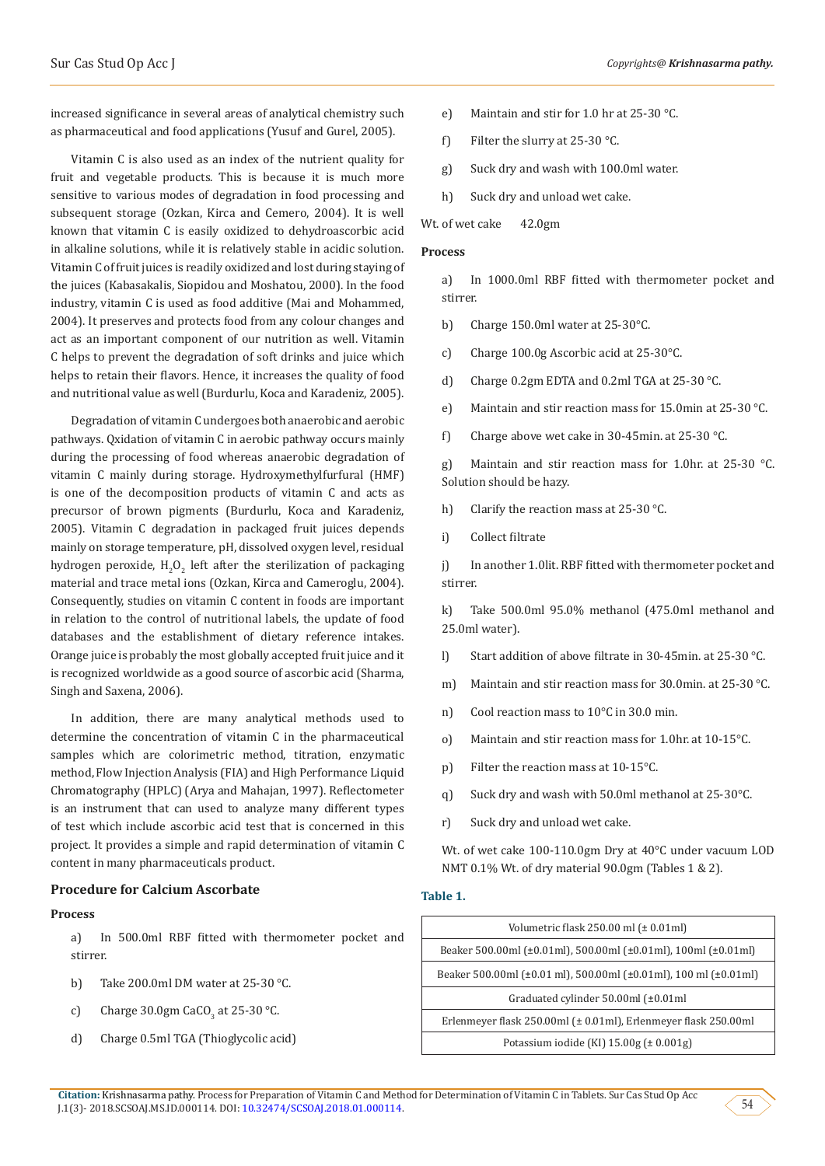increased significance in several areas of analytical chemistry such as pharmaceutical and food applications (Yusuf and Gurel, 2005).

Vitamin C is also used as an index of the nutrient quality for fruit and vegetable products. This is because it is much more sensitive to various modes of degradation in food processing and subsequent storage (Ozkan, Kirca and Cemero, 2004). It is well known that vitamin C is easily oxidized to dehydroascorbic acid in alkaline solutions, while it is relatively stable in acidic solution. Vitamin C of fruit juices is readily oxidized and lost during staying of the juices (Kabasakalis, Siopidou and Moshatou, 2000). In the food industry, vitamin C is used as food additive (Mai and Mohammed, 2004). It preserves and protects food from any colour changes and act as an important component of our nutrition as well. Vitamin C helps to prevent the degradation of soft drinks and juice which helps to retain their flavors. Hence, it increases the quality of food and nutritional value as well (Burdurlu, Koca and Karadeniz, 2005).

Degradation of vitamin C undergoes both anaerobic and aerobic pathways. Qxidation of vitamin C in aerobic pathway occurs mainly during the processing of food whereas anaerobic degradation of vitamin C mainly during storage. Hydroxymethylfurfural (HMF) is one of the decomposition products of vitamin C and acts as precursor of brown pigments (Burdurlu, Koca and Karadeniz, 2005). Vitamin C degradation in packaged fruit juices depends mainly on storage temperature, pH, dissolved oxygen level, residual hydrogen peroxide,  ${\rm H_2O_2}$  left after the sterilization of packaging material and trace metal ions (Ozkan, Kirca and Cameroglu, 2004). Consequently, studies on vitamin C content in foods are important in relation to the control of nutritional labels, the update of food databases and the establishment of dietary reference intakes. Orange juice is probably the most globally accepted fruit juice and it is recognized worldwide as a good source of ascorbic acid (Sharma, Singh and Saxena, 2006).

In addition, there are many analytical methods used to determine the concentration of vitamin C in the pharmaceutical samples which are colorimetric method, titration, enzymatic method, Flow Injection Analysis (FIA) and High Performance Liquid Chromatography (HPLC) (Arya and Mahajan, 1997). Reflectometer is an instrument that can used to analyze many different types of test which include ascorbic acid test that is concerned in this project. It provides a simple and rapid determination of vitamin C content in many pharmaceuticals product.

## **Procedure for Calcium Ascorbate**

#### **Process**

a) In 500.0ml RBF fitted with thermometer pocket and stirrer.

- b) Take 200.0ml DM water at 25-30 °C.
- c) Charge 30.0gm CaCO<sub>3</sub> at 25-30 °C.
- d) Charge 0.5ml TGA (Thioglycolic acid)
- e) Maintain and stir for 1.0 hr at 25-30 °C.
- f) Filter the slurry at 25-30 °C.
- g) Suck dry and wash with 100.0ml water.
- h) Suck dry and unload wet cake.

Wt. of wet cake 42.0gm

#### **Process**

a) In 1000.0ml RBF fitted with thermometer pocket and stirrer.

- b) Charge 150.0ml water at 25-30°C.
- c) Charge 100.0g Ascorbic acid at 25-30°C.
- d) Charge 0.2gm EDTA and 0.2ml TGA at 25-30 °C.
- e) Maintain and stir reaction mass for 15.0min at 25-30 °C.
- f) Charge above wet cake in 30-45min. at 25-30 °C.

g) Maintain and stir reaction mass for 1.0hr. at 25-30 °C. Solution should be hazy.

- h) Clarify the reaction mass at 25-30 °C.
- i) Collect filtrate

j) In another 1.0lit. RBF fitted with thermometer pocket and stirrer.

k) Take 500.0ml 95.0% methanol (475.0ml methanol and 25.0ml water).

- l) Start addition of above filtrate in 30-45min. at 25-30 °C.
- m) Maintain and stir reaction mass for 30.0min. at 25-30 °C.
- n) Cool reaction mass to 10°C in 30.0 min.
- o) Maintain and stir reaction mass for 1.0hr. at 10-15°C.
- p) Filter the reaction mass at 10-15°C.
- q) Suck dry and wash with 50.0ml methanol at 25-30°C.
- r) Suck dry and unload wet cake.

Wt. of wet cake 100-110.0gm Dry at 40°C under vacuum LOD NMT 0.1% Wt. of dry material 90.0gm (Tables 1 & 2).

#### **Table 1.**

| Volumetric flask $250.00$ ml $(\pm 0.01$ ml)                                       |  |  |
|------------------------------------------------------------------------------------|--|--|
| Beaker 500.00ml (±0.01ml), 500.00ml (±0.01ml), 100ml (±0.01ml)                     |  |  |
| Beaker 500.00ml ( $\pm$ 0.01 ml), 500.00ml ( $\pm$ 0.01ml), 100 ml ( $\pm$ 0.01ml) |  |  |
| Graduated cylinder $50.00$ ml ( $\pm 0.01$ ml                                      |  |  |
| Erlenmeyer flask 250.00ml (± 0.01ml), Erlenmeyer flask 250.00ml                    |  |  |
| Potassium iodide (KI) $15.00g \neq 0.001g$ )                                       |  |  |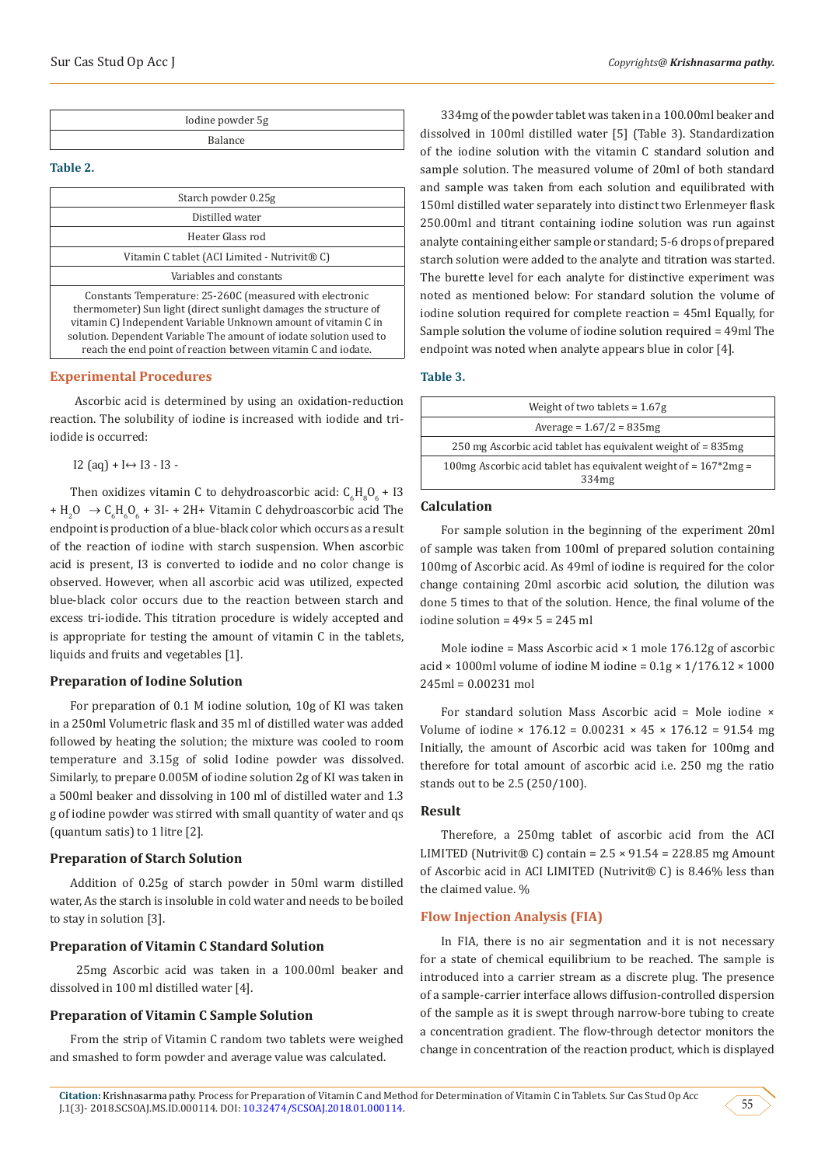| Iodine powder 5g |  |
|------------------|--|
| Balance          |  |

## **Table 2.**

| Starch powder 0.25g                                                                                                                                                                                                                                                  |
|----------------------------------------------------------------------------------------------------------------------------------------------------------------------------------------------------------------------------------------------------------------------|
| Distilled water                                                                                                                                                                                                                                                      |
| Heater Glass rod                                                                                                                                                                                                                                                     |
| Vitamin C tablet (ACI Limited - Nutrivit® C)                                                                                                                                                                                                                         |
| Variables and constants                                                                                                                                                                                                                                              |
| Constants Temperature: 25-260C (measured with electronic<br>thermometer) Sun light (direct sunlight damages the structure of<br>vitamin C) Independent Variable Unknown amount of vitamin C in<br>solution. Dependent Variable The amount of iodate solution used to |

#### **Experimental Procedures**

 Ascorbic acid is determined by using an oxidation-reduction reaction. The solubility of iodine is increased with iodide and triiodide is occurred:

reach the end point of reaction between vitamin C and iodate.

I2 (aq) + I↔ I3 - I3 -

Then oxidizes vitamin C to dehydroascorbic acid:  $C_6H_8O_6 + 13$ +  $H_2O \rightarrow C_6H_6O_6$  + 3I- + 2H+ Vitamin C dehydroascorbic acid The endpoint is production of a blue-black color which occurs as a result of the reaction of iodine with starch suspension. When ascorbic acid is present, I3 is converted to iodide and no color change is observed. However, when all ascorbic acid was utilized, expected blue-black color occurs due to the reaction between starch and excess tri-iodide. This titration procedure is widely accepted and is appropriate for testing the amount of vitamin C in the tablets, liquids and fruits and vegetables [1].

#### **Preparation of Iodine Solution**

For preparation of 0.1 M iodine solution, 10g of KI was taken in a 250ml Volumetric flask and 35 ml of distilled water was added followed by heating the solution; the mixture was cooled to room temperature and 3.15g of solid Iodine powder was dissolved. Similarly, to prepare 0.005M of iodine solution 2g of KI was taken in a 500ml beaker and dissolving in 100 ml of distilled water and 1.3 g of iodine powder was stirred with small quantity of water and qs (quantum satis) to 1 litre [2].

## **Preparation of Starch Solution**

Addition of 0.25g of starch powder in 50ml warm distilled water, As the starch is insoluble in cold water and needs to be boiled to stay in solution [3].

## **Preparation of Vitamin C Standard Solution**

 25mg Ascorbic acid was taken in a 100.00ml beaker and dissolved in 100 ml distilled water [4].

## **Preparation of Vitamin C Sample Solution**

From the strip of Vitamin C random two tablets were weighed and smashed to form powder and average value was calculated.

334mg of the powder tablet was taken in a 100.00ml beaker and dissolved in 100ml distilled water [5] (Table 3). Standardization of the iodine solution with the vitamin C standard solution and sample solution. The measured volume of 20ml of both standard and sample was taken from each solution and equilibrated with 150ml distilled water separately into distinct two Erlenmeyer flask 250.00ml and titrant containing iodine solution was run against analyte containing either sample or standard; 5-6 drops of prepared starch solution were added to the analyte and titration was started. The burette level for each analyte for distinctive experiment was noted as mentioned below: For standard solution the volume of iodine solution required for complete reaction = 45ml Equally, for Sample solution the volume of iodine solution required = 49ml The endpoint was noted when analyte appears blue in color [4].

#### **Table 3.**

| Weight of two tablets = $1.67g$                                                        |  |
|----------------------------------------------------------------------------------------|--|
| Average = $1.67/2 = 835mg$                                                             |  |
| 250 mg Ascorbic acid tablet has equivalent weight of = 835 mg                          |  |
| 100mg Ascorbic acid tablet has equivalent weight of $= 167*2mg =$<br>334 <sub>mg</sub> |  |

## **Calculation**

For sample solution in the beginning of the experiment 20ml of sample was taken from 100ml of prepared solution containing 100mg of Ascorbic acid. As 49ml of iodine is required for the color change containing 20ml ascorbic acid solution, the dilution was done 5 times to that of the solution. Hence, the final volume of the iodine solution = 49× 5 = 245 ml

Mole iodine = Mass Ascorbic acid  $\times$  1 mole 176.12g of ascorbic acid  $\times$  1000ml volume of iodine M iodine = 0.1g  $\times$  1/176.12  $\times$  1000 245ml = 0.00231 mol

For standard solution Mass Ascorbic acid = Mole iodine × Volume of iodine  $\times$  176.12 = 0.00231  $\times$  45  $\times$  176.12 = 91.54 mg Initially, the amount of Ascorbic acid was taken for 100mg and therefore for total amount of ascorbic acid i.e. 250 mg the ratio stands out to be 2.5 (250/100).

#### **Result**

Therefore, a 250mg tablet of ascorbic acid from the ACI LIMITED (Nutrivit® C) contain =  $2.5 \times 91.54 = 228.85$  mg Amount of Ascorbic acid in ACI LIMITED (Nutrivit® C) is 8.46% less than the claimed value. %

## **Flow Injection Analysis (FIA)**

In FIA, there is no air segmentation and it is not necessary for a state of chemical equilibrium to be reached. The sample is introduced into a carrier stream as a discrete plug. The presence of a sample-carrier interface allows diffusion-controlled dispersion of the sample as it is swept through narrow-bore tubing to create a concentration gradient. The flow-through detector monitors the change in concentration of the reaction product, which is displayed

**Citation:** Krishnasarma pathy. Process for Preparation of Vitamin C and Method for Determination of Vitamin C in Tablets. Sur Cas Stud Op Acc J.1(3)- 2018.SCSOAJ.MS.ID.000114. DOI: [10.32474/SCSOAJ.2018.01.000114.](http://dx.doi.org/10.32474/SCSOAJ.2018.01.000114)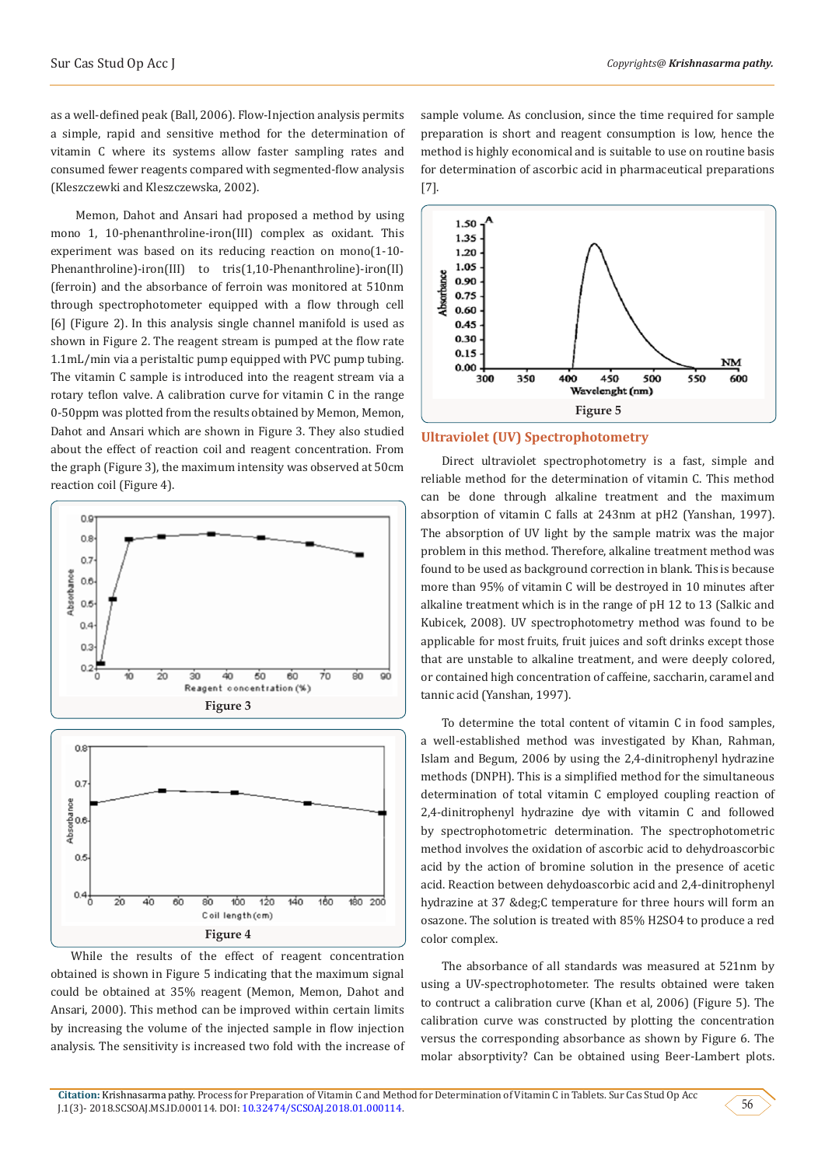as a well-defined peak (Ball, 2006). Flow-Injection analysis permits a simple, rapid and sensitive method for the determination of vitamin C where its systems allow faster sampling rates and consumed fewer reagents compared with segmented-flow analysis (Kleszczewki and Kleszczewska, 2002).

 Memon, Dahot and Ansari had proposed a method by using mono 1, 10-phenanthroline-iron(III) complex as oxidant. This experiment was based on its reducing reaction on mono(1-10- Phenanthroline)-iron(III) to tris(1,10-Phenanthroline)-iron(II) (ferroin) and the absorbance of ferroin was monitored at 510nm through spectrophotometer equipped with a flow through cell [6] (Figure 2). In this analysis single channel manifold is used as shown in Figure 2. The reagent stream is pumped at the flow rate 1.1mL/min via a peristaltic pump equipped with PVC pump tubing. The vitamin C sample is introduced into the reagent stream via a rotary teflon valve. A calibration curve for vitamin C in the range 0-50ppm was plotted from the results obtained by Memon, Memon, Dahot and Ansari which are shown in Figure 3. They also studied about the effect of reaction coil and reagent concentration. From the graph (Figure 3), the maximum intensity was observed at 50cm reaction coil (Figure 4).





While the results of the effect of reagent concentration obtained is shown in Figure 5 indicating that the maximum signal could be obtained at 35% reagent (Memon, Memon, Dahot and Ansari, 2000). This method can be improved within certain limits by increasing the volume of the injected sample in flow injection analysis. The sensitivity is increased two fold with the increase of sample volume. As conclusion, since the time required for sample preparation is short and reagent consumption is low, hence the method is highly economical and is suitable to use on routine basis for determination of ascorbic acid in pharmaceutical preparations [7].



#### **Ultraviolet (UV) Spectrophotometry**

Direct ultraviolet spectrophotometry is a fast, simple and reliable method for the determination of vitamin C. This method can be done through alkaline treatment and the maximum absorption of vitamin C falls at 243nm at pH2 (Yanshan, 1997). The absorption of UV light by the sample matrix was the major problem in this method. Therefore, alkaline treatment method was found to be used as background correction in blank. This is because more than 95% of vitamin C will be destroyed in 10 minutes after alkaline treatment which is in the range of pH 12 to 13 (Salkic and Kubicek, 2008). UV spectrophotometry method was found to be applicable for most fruits, fruit juices and soft drinks except those that are unstable to alkaline treatment, and were deeply colored, or contained high concentration of caffeine, saccharin, caramel and tannic acid (Yanshan, 1997).

To determine the total content of vitamin C in food samples, a well-established method was investigated by Khan, Rahman, Islam and Begum, 2006 by using the 2,4-dinitrophenyl hydrazine methods (DNPH). This is a simplified method for the simultaneous determination of total vitamin C employed coupling reaction of 2,4-dinitrophenyl hydrazine dye with vitamin C and followed by spectrophotometric determination. The spectrophotometric method involves the oxidation of ascorbic acid to dehydroascorbic acid by the action of bromine solution in the presence of acetic acid. Reaction between dehydoascorbic acid and 2,4-dinitrophenyl hydrazine at 37 °C temperature for three hours will form an osazone. The solution is treated with 85% H2SO4 to produce a red color complex.

The absorbance of all standards was measured at 521nm by using a UV-spectrophotometer. The results obtained were taken to contruct a calibration curve (Khan et al, 2006) (Figure 5). The calibration curve was constructed by plotting the concentration versus the corresponding absorbance as shown by Figure 6. The molar absorptivity? Can be obtained using Beer-Lambert plots.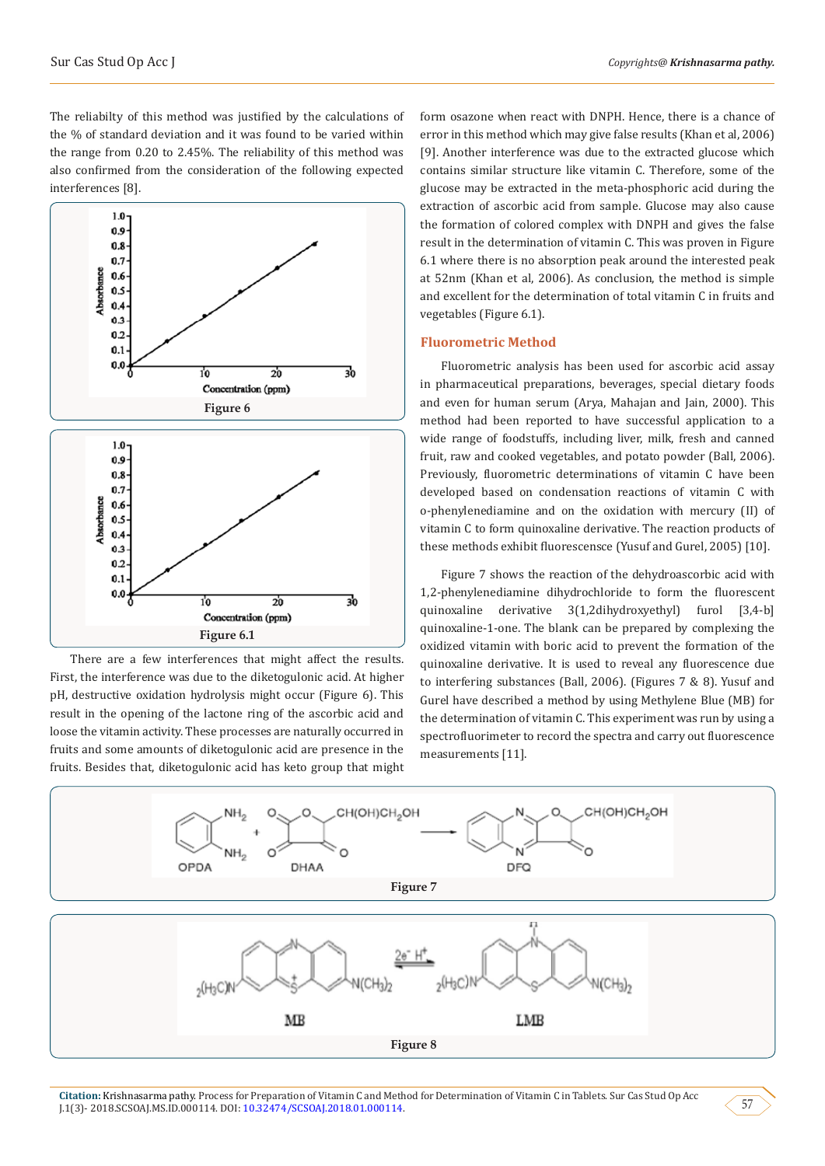The reliabilty of this method was justified by the calculations of the % of standard deviation and it was found to be varied within the range from 0.20 to 2.45%. The reliability of this method was also confirmed from the consideration of the following expected interferences [8].



There are a few interferences that might affect the results. First, the interference was due to the diketogulonic acid. At higher pH, destructive oxidation hydrolysis might occur (Figure 6). This result in the opening of the lactone ring of the ascorbic acid and loose the vitamin activity. These processes are naturally occurred in fruits and some amounts of diketogulonic acid are presence in the fruits. Besides that, diketogulonic acid has keto group that might form osazone when react with DNPH. Hence, there is a chance of error in this method which may give false results (Khan et al, 2006) [9]. Another interference was due to the extracted glucose which contains similar structure like vitamin C. Therefore, some of the glucose may be extracted in the meta-phosphoric acid during the extraction of ascorbic acid from sample. Glucose may also cause the formation of colored complex with DNPH and gives the false result in the determination of vitamin C. This was proven in Figure 6.1 where there is no absorption peak around the interested peak at 52nm (Khan et al, 2006). As conclusion, the method is simple and excellent for the determination of total vitamin C in fruits and vegetables (Figure 6.1).

## **Fluorometric Method**

Fluorometric analysis has been used for ascorbic acid assay in pharmaceutical preparations, beverages, special dietary foods and even for human serum (Arya, Mahajan and Jain, 2000). This method had been reported to have successful application to a wide range of foodstuffs, including liver, milk, fresh and canned fruit, raw and cooked vegetables, and potato powder (Ball, 2006). Previously, fluorometric determinations of vitamin C have been developed based on condensation reactions of vitamin C with o-phenylenediamine and on the oxidation with mercury (II) of vitamin C to form quinoxaline derivative. The reaction products of these methods exhibit fluorescensce (Yusuf and Gurel, 2005) [10].

Figure 7 shows the reaction of the dehydroascorbic acid with 1,2-phenylenediamine dihydrochloride to form the fluorescent quinoxaline derivative 3(1,2dihydroxyethyl) furol [3,4-b] quinoxaline-1-one. The blank can be prepared by complexing the oxidized vitamin with boric acid to prevent the formation of the quinoxaline derivative. It is used to reveal any fluorescence due to interfering substances (Ball, 2006). (Figures 7 & 8). Yusuf and Gurel have described a method by using Methylene Blue (MB) for the determination of vitamin C. This experiment was run by using a spectrofluorimeter to record the spectra and carry out fluorescence measurements [11].



**Citation:** Krishnasarma pathy. Process for Preparation of Vitamin C and Method for Determination of Vitamin C in Tablets. Sur Cas Stud Op Acc J.1(3)- 2018.SCSOAJ.MS.ID.000114. DOI: [10.32474/SCSOAJ.2018.01.000114.](http://dx.doi.org/10.32474/SCSOAJ.2018.01.000114)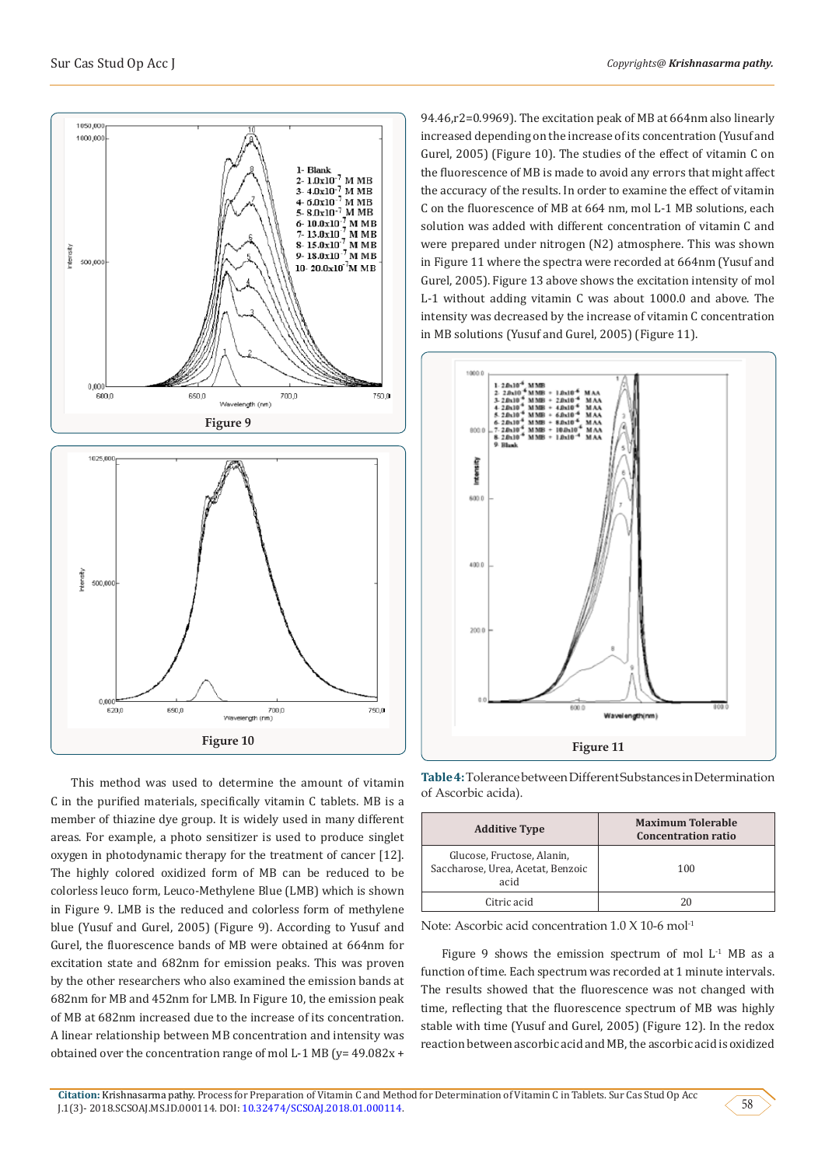

This method was used to determine the amount of vitamin C in the purified materials, specifically vitamin C tablets. MB is a member of thiazine dye group. It is widely used in many different areas. For example, a photo sensitizer is used to produce singlet oxygen in photodynamic therapy for the treatment of cancer [12]. The highly colored oxidized form of MB can be reduced to be colorless leuco form, Leuco-Methylene Blue (LMB) which is shown in Figure 9. LMB is the reduced and colorless form of methylene blue (Yusuf and Gurel, 2005) (Figure 9). According to Yusuf and Gurel, the fluorescence bands of MB were obtained at 664nm for excitation state and 682nm for emission peaks. This was proven by the other researchers who also examined the emission bands at 682nm for MB and 452nm for LMB. In Figure 10, the emission peak of MB at 682nm increased due to the increase of its concentration. A linear relationship between MB concentration and intensity was obtained over the concentration range of mol L-1 MB ( $y=$  49.082x +

94.46,r2=0.9969). The excitation peak of MB at 664nm also linearly increased depending on the increase of its concentration (Yusuf and Gurel, 2005) (Figure 10). The studies of the effect of vitamin C on the fluorescence of MB is made to avoid any errors that might affect the accuracy of the results. In order to examine the effect of vitamin C on the fluorescence of MB at 664 nm, mol L-1 MB solutions, each solution was added with different concentration of vitamin C and were prepared under nitrogen (N2) atmosphere. This was shown in Figure 11 where the spectra were recorded at 664nm (Yusuf and Gurel, 2005). Figure 13 above shows the excitation intensity of mol L-1 without adding vitamin C was about 1000.0 and above. The intensity was decreased by the increase of vitamin C concentration in MB solutions (Yusuf and Gurel, 2005) (Figure 11).



**Table 4:** Tolerance between Different Substances in Determination of Ascorbic acida).

| <b>Additive Type</b>                                                    | <b>Maximum Tolerable</b><br><b>Concentration ratio</b> |
|-------------------------------------------------------------------------|--------------------------------------------------------|
| Glucose, Fructose, Alanin,<br>Saccharose, Urea, Acetat, Benzoic<br>acid | 100                                                    |
| Citric acid                                                             | 20                                                     |

Note: Ascorbic acid concentration 1.0 X 10-6 mol-1

Figure 9 shows the emission spectrum of mol  $L^1$  MB as a function of time. Each spectrum was recorded at 1 minute intervals. The results showed that the fluorescence was not changed with time, reflecting that the fluorescence spectrum of MB was highly stable with time (Yusuf and Gurel, 2005) (Figure 12). In the redox reaction between ascorbic acid and MB, the ascorbic acid is oxidized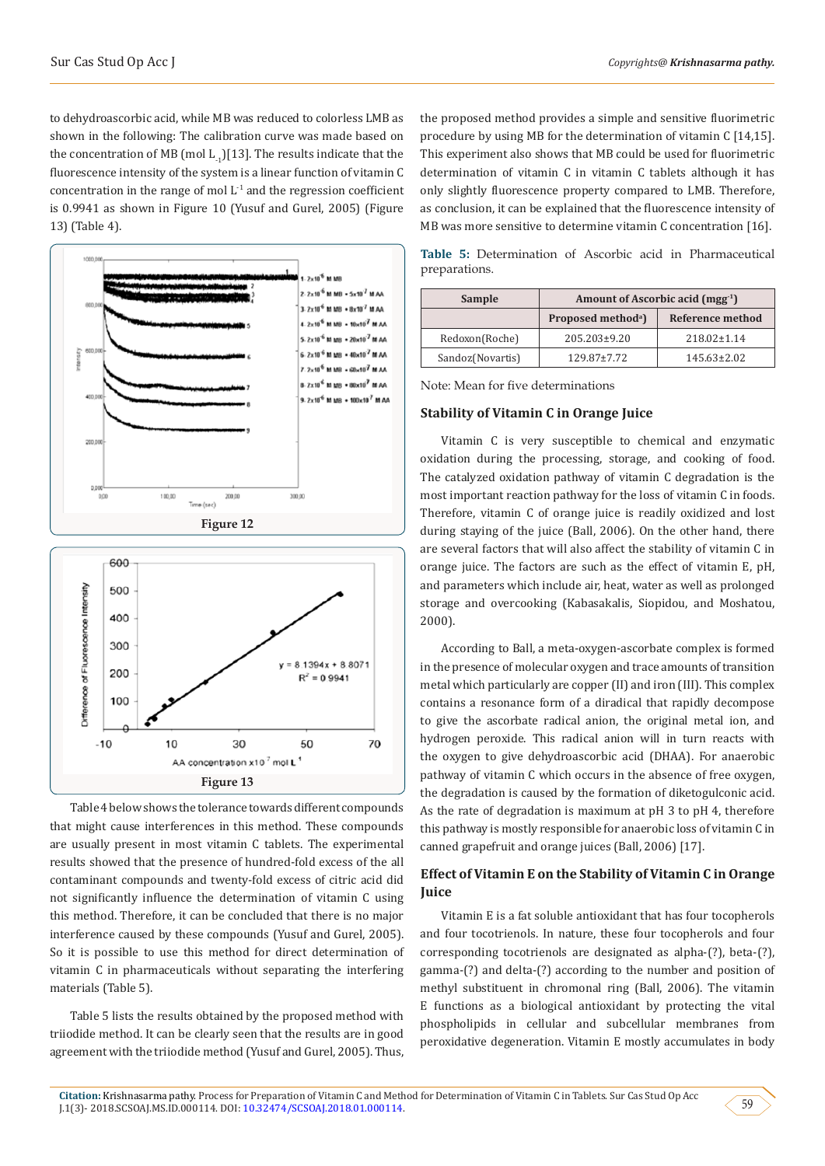to dehydroascorbic acid, while MB was reduced to colorless LMB as shown in the following: The calibration curve was made based on the concentration of MB (mol  $L_{1}$ )[13]. The results indicate that the fluorescence intensity of the system is a linear function of vitamin C concentration in the range of mol  $L<sup>-1</sup>$  and the regression coefficient is 0.9941 as shown in Figure 10 (Yusuf and Gurel, 2005) (Figure 13) (Table 4).





Table 4 below shows the tolerance towards different compounds that might cause interferences in this method. These compounds are usually present in most vitamin C tablets. The experimental results showed that the presence of hundred-fold excess of the all contaminant compounds and twenty-fold excess of citric acid did not significantly influence the determination of vitamin C using this method. Therefore, it can be concluded that there is no major interference caused by these compounds (Yusuf and Gurel, 2005). So it is possible to use this method for direct determination of vitamin C in pharmaceuticals without separating the interfering materials (Table 5).

Table 5 lists the results obtained by the proposed method with triiodide method. It can be clearly seen that the results are in good agreement with the triiodide method (Yusuf and Gurel, 2005). Thus,

the proposed method provides a simple and sensitive fluorimetric procedure by using MB for the determination of vitamin C [14,15]. This experiment also shows that MB could be used for fluorimetric determination of vitamin C in vitamin C tablets although it has only slightly fluorescence property compared to LMB. Therefore, as conclusion, it can be explained that the fluorescence intensity of MB was more sensitive to determine vitamin C concentration [16].

**Table 5:** Determination of Ascorbic acid in Pharmaceutical preparations.

| Sample           | Amount of Ascorbic acid (mgg <sup>-1</sup> ) |                   |  |  |
|------------------|----------------------------------------------|-------------------|--|--|
|                  | Proposed method <sup>a</sup> )               | Reference method  |  |  |
| Redoxon(Roche)   | 205.203±9.20                                 | $218.02 \pm 1.14$ |  |  |
| Sandoz(Novartis) | $129.87 \pm 7.72$                            | $145.63 \pm 2.02$ |  |  |

Note: Mean for five determinations

#### **Stability of Vitamin C in Orange Juice**

Vitamin C is very susceptible to chemical and enzymatic oxidation during the processing, storage, and cooking of food. The catalyzed oxidation pathway of vitamin C degradation is the most important reaction pathway for the loss of vitamin C in foods. Therefore, vitamin C of orange juice is readily oxidized and lost during staying of the juice (Ball, 2006). On the other hand, there are several factors that will also affect the stability of vitamin C in orange juice. The factors are such as the effect of vitamin E, pH, and parameters which include air, heat, water as well as prolonged storage and overcooking (Kabasakalis, Siopidou, and Moshatou, 2000).

According to Ball, a meta-oxygen-ascorbate complex is formed in the presence of molecular oxygen and trace amounts of transition metal which particularly are copper (II) and iron (III). This complex contains a resonance form of a diradical that rapidly decompose to give the ascorbate radical anion, the original metal ion, and hydrogen peroxide. This radical anion will in turn reacts with the oxygen to give dehydroascorbic acid (DHAA). For anaerobic pathway of vitamin C which occurs in the absence of free oxygen, the degradation is caused by the formation of diketogulconic acid. As the rate of degradation is maximum at pH 3 to pH 4, therefore this pathway is mostly responsible for anaerobic loss of vitamin C in canned grapefruit and orange juices (Ball, 2006) [17].

# **Effect of Vitamin E on the Stability of Vitamin C in Orange Juice**

Vitamin E is a fat soluble antioxidant that has four tocopherols and four tocotrienols. In nature, these four tocopherols and four corresponding tocotrienols are designated as alpha-(?), beta-(?), gamma-(?) and delta-(?) according to the number and position of methyl substituent in chromonal ring (Ball, 2006). The vitamin E functions as a biological antioxidant by protecting the vital phospholipids in cellular and subcellular membranes from peroxidative degeneration. Vitamin E mostly accumulates in body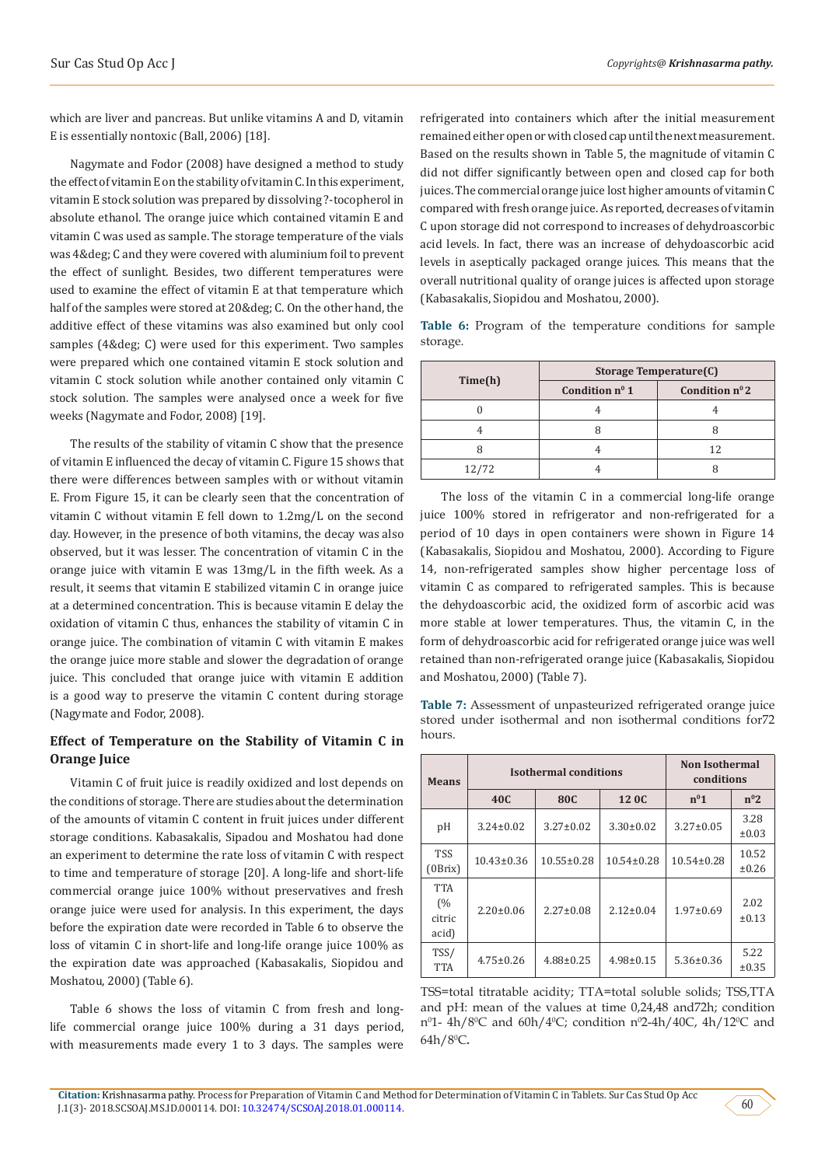which are liver and pancreas. But unlike vitamins A and D, vitamin E is essentially nontoxic (Ball, 2006) [18].

Nagymate and Fodor (2008) have designed a method to study the effect of vitamin E on the stability of vitamin C. In this experiment, vitamin E stock solution was prepared by dissolving ?-tocopherol in absolute ethanol. The orange juice which contained vitamin E and vitamin C was used as sample. The storage temperature of the vials was 4& deg; C and they were covered with aluminium foil to prevent the effect of sunlight. Besides, two different temperatures were used to examine the effect of vitamin E at that temperature which half of the samples were stored at 20° C. On the other hand, the additive effect of these vitamins was also examined but only cool samples (4° C) were used for this experiment. Two samples were prepared which one contained vitamin E stock solution and vitamin C stock solution while another contained only vitamin C stock solution. The samples were analysed once a week for five weeks (Nagymate and Fodor, 2008) [19].

The results of the stability of vitamin C show that the presence of vitamin E influenced the decay of vitamin C. Figure 15 shows that there were differences between samples with or without vitamin E. From Figure 15, it can be clearly seen that the concentration of vitamin C without vitamin E fell down to 1.2mg/L on the second day. However, in the presence of both vitamins, the decay was also observed, but it was lesser. The concentration of vitamin C in the orange juice with vitamin E was 13mg/L in the fifth week. As a result, it seems that vitamin E stabilized vitamin C in orange juice at a determined concentration. This is because vitamin E delay the oxidation of vitamin C thus, enhances the stability of vitamin C in orange juice. The combination of vitamin C with vitamin E makes the orange juice more stable and slower the degradation of orange juice. This concluded that orange juice with vitamin E addition is a good way to preserve the vitamin C content during storage (Nagymate and Fodor, 2008).

# **Effect of Temperature on the Stability of Vitamin C in Orange Juice**

Vitamin C of fruit juice is readily oxidized and lost depends on the conditions of storage. There are studies about the determination of the amounts of vitamin C content in fruit juices under different storage conditions. Kabasakalis, Sipadou and Moshatou had done an experiment to determine the rate loss of vitamin C with respect to time and temperature of storage [20]. A long-life and short-life commercial orange juice 100% without preservatives and fresh orange juice were used for analysis. In this experiment, the days before the expiration date were recorded in Table 6 to observe the loss of vitamin C in short-life and long-life orange juice 100% as the expiration date was approached (Kabasakalis, Siopidou and Moshatou, 2000) (Table 6).

Table 6 shows the loss of vitamin C from fresh and longlife commercial orange juice 100% during a 31 days period, with measurements made every 1 to 3 days. The samples were

refrigerated into containers which after the initial measurement remained either open or with closed cap until the next measurement. Based on the results shown in Table 5, the magnitude of vitamin C did not differ significantly between open and closed cap for both juices. The commercial orange juice lost higher amounts of vitamin C compared with fresh orange juice. As reported, decreases of vitamin C upon storage did not correspond to increases of dehydroascorbic acid levels. In fact, there was an increase of dehydoascorbic acid levels in aseptically packaged orange juices. This means that the overall nutritional quality of orange juices is affected upon storage (Kabasakalis, Siopidou and Moshatou, 2000).

Table 6: Program of the temperature conditions for sample storage.

|         | Storage Temperature(C) |                   |  |  |
|---------|------------------------|-------------------|--|--|
| Time(h) | Condition $n^0$ 1      | Condition $n^0$ 2 |  |  |
|         |                        |                   |  |  |
|         |                        |                   |  |  |
|         |                        | 12                |  |  |
| 12/72   |                        |                   |  |  |

The loss of the vitamin C in a commercial long-life orange juice 100% stored in refrigerator and non-refrigerated for a period of 10 days in open containers were shown in Figure 14 (Kabasakalis, Siopidou and Moshatou, 2000). According to Figure 14, non-refrigerated samples show higher percentage loss of vitamin C as compared to refrigerated samples. This is because the dehydoascorbic acid, the oxidized form of ascorbic acid was more stable at lower temperatures. Thus, the vitamin C, in the form of dehydroascorbic acid for refrigerated orange juice was well retained than non-refrigerated orange juice (Kabasakalis, Siopidou and Moshatou, 2000) (Table 7).

**Table 7:** Assessment of unpasteurized refrigerated orange juice stored under isothermal and non isothermal conditions for72 hours.

| <b>Means</b>                        |                  | <b>Isothermal conditions</b> | <b>Non Isothermal</b><br>conditions |                  |                    |
|-------------------------------------|------------------|------------------------------|-------------------------------------|------------------|--------------------|
|                                     | 40C              | 80C                          | 12 OC                               | $n^{0}1$         | $n^02$             |
| pH                                  | $3.24 \pm 0.02$  | $3.27 \pm 0.02$              | $3.30 \pm 0.02$                     | $3.27 \pm 0.05$  | 3.28<br>$\pm 0.03$ |
| <b>TSS</b><br>(0Brix)               | $10.43 \pm 0.36$ | $10.55 \pm 0.28$             | $10.54 \pm 0.28$                    | $10.54 \pm 0.28$ | 10.52<br>±0.26     |
| <b>TTA</b><br>(%<br>citric<br>acid) | $2.20 \pm 0.06$  | $2.27 \pm 0.08$              | $2.12 \pm 0.04$                     | $1.97 \pm 0.69$  | 2.02<br>±0.13      |
| TSS/<br><b>TTA</b>                  | $4.75 \pm 0.26$  | $4.88 \pm 0.25$              | $4.98 \pm 0.15$                     | $5.36 \pm 0.36$  | 5.22<br>±0.35      |

TSS=total titratable acidity; TTA=total soluble solids; TSS,TTA and pH: mean of the values at time 0,24,48 and72h; condition nº1- 4h/8ºC and 60h/4ºC; condition nº2-4h/40C, 4h/12ºC and 64h/8<sup>0</sup> C**.**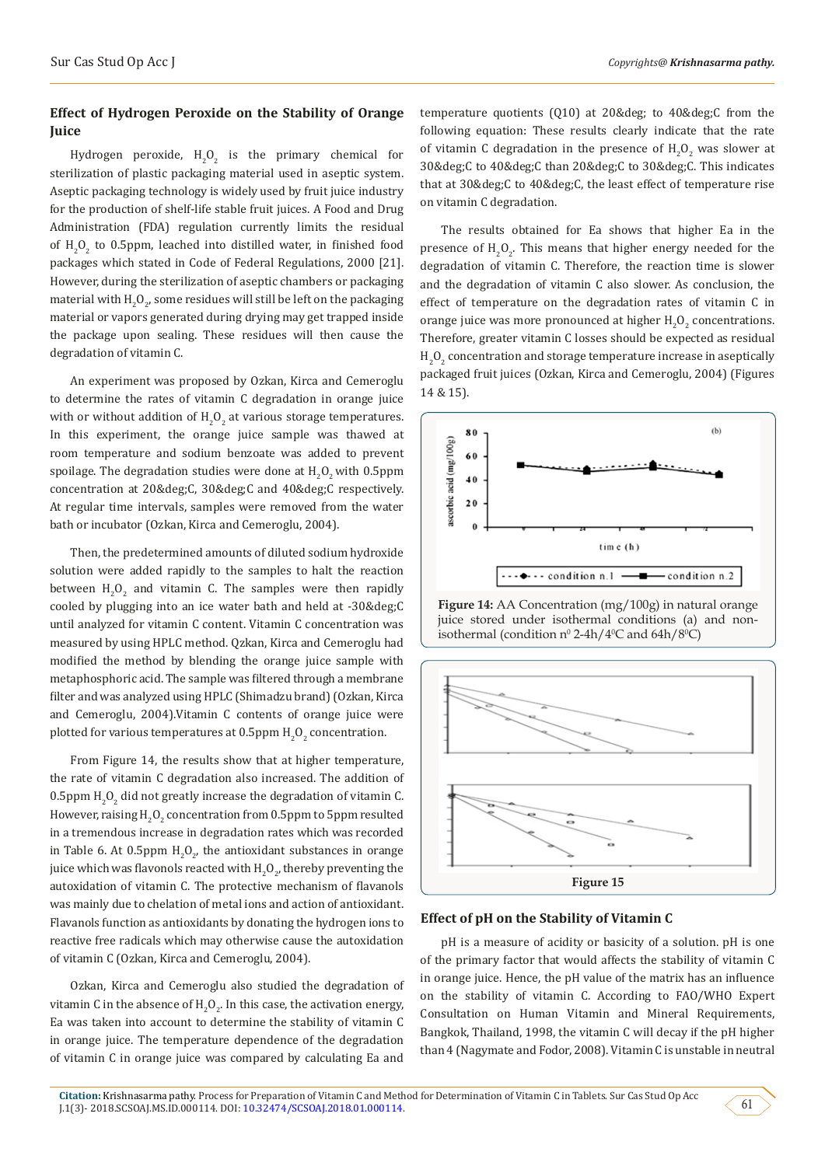# **Effect of Hydrogen Peroxide on the Stability of Orange Juice**

Hydrogen peroxide,  $H_2O_2$  is the primary chemical for sterilization of plastic packaging material used in aseptic system. Aseptic packaging technology is widely used by fruit juice industry for the production of shelf-life stable fruit juices. A Food and Drug Administration (FDA) regulation currently limits the residual of  $H_2O_2$  to 0.5ppm, leached into distilled water, in finished food packages which stated in Code of Federal Regulations, 2000 [21]. However, during the sterilization of aseptic chambers or packaging material with  ${\rm H_2O_{2^\prime}}$  some residues will still be left on the packaging material or vapors generated during drying may get trapped inside the package upon sealing. These residues will then cause the degradation of vitamin C.

An experiment was proposed by Ozkan, Kirca and Cemeroglu to determine the rates of vitamin C degradation in orange juice with or without addition of  $H_2O_2$  at various storage temperatures. In this experiment, the orange juice sample was thawed at room temperature and sodium benzoate was added to prevent spoilage. The degradation studies were done at  ${\rm H}_{2}{\rm O}_{2}$  with 0.5ppm concentration at 20°C, 30°C and 40°C respectively. At regular time intervals, samples were removed from the water bath or incubator (Ozkan, Kirca and Cemeroglu, 2004).

Then, the predetermined amounts of diluted sodium hydroxide solution were added rapidly to the samples to halt the reaction between  $H_2O_2$  and vitamin C. The samples were then rapidly cooled by plugging into an ice water bath and held at  $-30$ °C until analyzed for vitamin C content. Vitamin C concentration was measured by using HPLC method. Qzkan, Kirca and Cemeroglu had modified the method by blending the orange juice sample with metaphosphoric acid. The sample was filtered through a membrane filter and was analyzed using HPLC (Shimadzu brand) (Ozkan, Kirca and Cemeroglu, 2004).Vitamin C contents of orange juice were plotted for various temperatures at 0.5ppm  $\rm{H}_{2}O_{2}$  concentration.

From Figure 14, the results show that at higher temperature, the rate of vitamin C degradation also increased. The addition of  $0.5$ ppm H<sub>2</sub>O<sub>2</sub> did not greatly increase the degradation of vitamin C. However, raising  $\mathrm{H_2O_2}$  concentration from 0.5ppm to 5ppm resulted in a tremendous increase in degradation rates which was recorded in Table 6. At 0.5ppm  $H_2O_{2'}$  the antioxidant substances in orange juice which was flavonols reacted with  $\rm H_2O_{2'}$  thereby preventing the autoxidation of vitamin C. The protective mechanism of flavanols was mainly due to chelation of metal ions and action of antioxidant. Flavanols function as antioxidants by donating the hydrogen ions to reactive free radicals which may otherwise cause the autoxidation of vitamin C (Ozkan, Kirca and Cemeroglu, 2004).

Ozkan, Kirca and Cemeroglu also studied the degradation of vitamin C in the absence of  $\mathrm{H_2O_2}$ . In this case, the activation energy, Ea was taken into account to determine the stability of vitamin C in orange juice. The temperature dependence of the degradation of vitamin C in orange juice was compared by calculating Ea and

temperature quotients  $(Q10)$  at 20& deg; to 40& deg; C from the following equation: These results clearly indicate that the rate of vitamin C degradation in the presence of  $H_2O_2$  was slower at 30°C to 40°C than 20°C to 30°C. This indicates that at 30°C to 40°C, the least effect of temperature rise on vitamin C degradation.

The results obtained for Ea shows that higher Ea in the presence of  $H_2O_2$ . This means that higher energy needed for the degradation of vitamin C. Therefore, the reaction time is slower and the degradation of vitamin C also slower. As conclusion, the effect of temperature on the degradation rates of vitamin C in orange juice was more pronounced at higher  $H_2O_2$  concentrations. Therefore, greater vitamin C losses should be expected as residual  ${\rm H}_{2}{\rm O}_{2}$  concentration and storage temperature increase in aseptically packaged fruit juices (Ozkan, Kirca and Cemeroglu, 2004) (Figures 14 & 15).







## **Effect of pH on the Stability of Vitamin C**

pH is a measure of acidity or basicity of a solution. pH is one of the primary factor that would affects the stability of vitamin C in orange juice. Hence, the pH value of the matrix has an influence on the stability of vitamin C. According to FAO/WHO Expert Consultation on Human Vitamin and Mineral Requirements, Bangkok, Thailand, 1998, the vitamin C will decay if the pH higher than 4 (Nagymate and Fodor, 2008). Vitamin C is unstable in neutral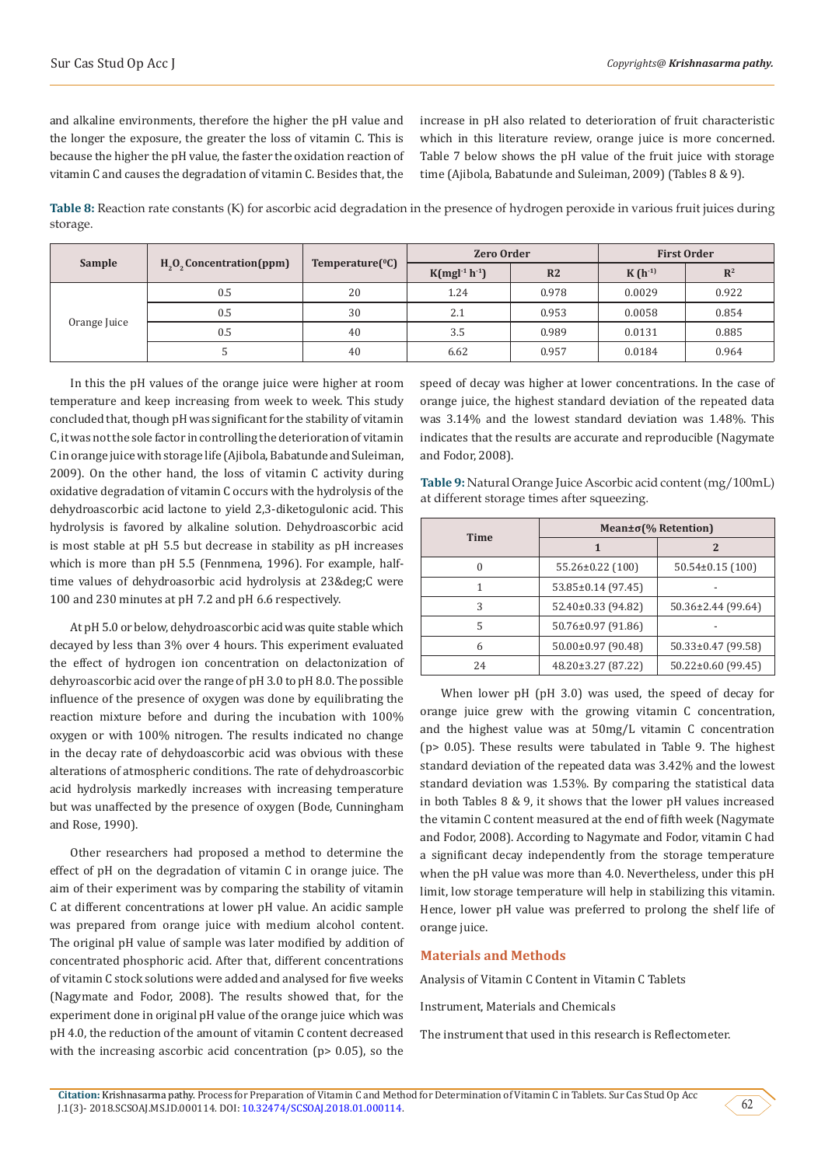and alkaline environments, therefore the higher the pH value and the longer the exposure, the greater the loss of vitamin C. This is because the higher the pH value, the faster the oxidation reaction of vitamin C and causes the degradation of vitamin C. Besides that, the increase in pH also related to deterioration of fruit characteristic which in this literature review, orange juice is more concerned. Table 7 below shows the pH value of the fruit juice with storage time (Ajibola, Babatunde and Suleiman, 2009) (Tables 8 & 9).

**Table 8:** Reaction rate constants (K) for ascorbic acid degradation in the presence of hydrogen peroxide in various fruit juices during storage.

|              | $H2O2$ Concentration (ppm) | Temperature $(^0C)$ | <b>Zero Order</b> |                | <b>First Order</b> |                |
|--------------|----------------------------|---------------------|-------------------|----------------|--------------------|----------------|
| Sample       |                            |                     | $K(mgl-1 h-1)$    | R <sub>2</sub> | $K(h^{-1})$        | $\mathbb{R}^2$ |
|              | 0.5                        | 20                  | 1.24              | 0.978          | 0.0029             | 0.922          |
|              | 0.5                        | 30                  | 2.1               | 0.953          | 0.0058             | 0.854          |
| Orange Juice | 0.5                        | 40                  | 3.5               | 0.989          | 0.0131             | 0.885          |
|              |                            | 40                  | 6.62              | 0.957          | 0.0184             | 0.964          |

In this the pH values of the orange juice were higher at room temperature and keep increasing from week to week. This study concluded that, though pH was significant for the stability of vitamin C, it was not the sole factor in controlling the deterioration of vitamin C in orange juice with storage life (Ajibola, Babatunde and Suleiman, 2009). On the other hand, the loss of vitamin C activity during oxidative degradation of vitamin C occurs with the hydrolysis of the dehydroascorbic acid lactone to yield 2,3-diketogulonic acid. This hydrolysis is favored by alkaline solution. Dehydroascorbic acid is most stable at pH 5.5 but decrease in stability as pH increases which is more than pH 5.5 (Fennmena, 1996). For example, halftime values of dehydroasorbic acid hydrolysis at 23°C were 100 and 230 minutes at pH 7.2 and pH 6.6 respectively.

At pH 5.0 or below, dehydroascorbic acid was quite stable which decayed by less than 3% over 4 hours. This experiment evaluated the effect of hydrogen ion concentration on delactonization of dehyroascorbic acid over the range of pH 3.0 to pH 8.0. The possible influence of the presence of oxygen was done by equilibrating the reaction mixture before and during the incubation with 100% oxygen or with 100% nitrogen. The results indicated no change in the decay rate of dehydoascorbic acid was obvious with these alterations of atmospheric conditions. The rate of dehydroascorbic acid hydrolysis markedly increases with increasing temperature but was unaffected by the presence of oxygen (Bode, Cunningham and Rose, 1990).

Other researchers had proposed a method to determine the effect of pH on the degradation of vitamin C in orange juice. The aim of their experiment was by comparing the stability of vitamin C at different concentrations at lower pH value. An acidic sample was prepared from orange juice with medium alcohol content. The original pH value of sample was later modified by addition of concentrated phosphoric acid. After that, different concentrations of vitamin C stock solutions were added and analysed for five weeks (Nagymate and Fodor, 2008). The results showed that, for the experiment done in original pH value of the orange juice which was pH 4.0, the reduction of the amount of vitamin C content decreased with the increasing ascorbic acid concentration (p> 0.05), so the

speed of decay was higher at lower concentrations. In the case of orange juice, the highest standard deviation of the repeated data was 3.14% and the lowest standard deviation was 1.48%. This indicates that the results are accurate and reproducible (Nagymate and Fodor, 2008).

**Table 9:** Natural Orange Juice Ascorbic acid content (mg/100mL) at different storage times after squeezing.

| <b>Time</b> | Mean $\pm \sigma$ (% Retention) |                          |  |  |
|-------------|---------------------------------|--------------------------|--|--|
|             | 1                               | 2                        |  |  |
|             | 55.26±0.22 (100)                | $50.54\pm0.15(100)$      |  |  |
|             | 53.85±0.14 (97.45)              |                          |  |  |
| 3           | 52.40±0.33 (94.82)              | 50.36±2.44 (99.64)       |  |  |
| 5           | 50.76±0.97 (91.86)              |                          |  |  |
| 6           | $50.00 \pm 0.97$ (90.48)        | $50.33 \pm 0.47$ (99.58) |  |  |
| 24          | $48.20 \pm 3.27$ (87.22)        | $50.22 \pm 0.60$ (99.45) |  |  |

When lower pH (pH 3.0) was used, the speed of decay for orange juice grew with the growing vitamin C concentration, and the highest value was at 50mg/L vitamin C concentration (p> 0.05). These results were tabulated in Table 9. The highest standard deviation of the repeated data was 3.42% and the lowest standard deviation was 1.53%. By comparing the statistical data in both Tables 8 & 9, it shows that the lower pH values increased the vitamin C content measured at the end of fifth week (Nagymate and Fodor, 2008). According to Nagymate and Fodor, vitamin C had a significant decay independently from the storage temperature when the pH value was more than 4.0. Nevertheless, under this pH limit, low storage temperature will help in stabilizing this vitamin. Hence, lower pH value was preferred to prolong the shelf life of orange juice.

### **Materials and Methods**

Analysis of Vitamin C Content in Vitamin C Tablets

Instrument, Materials and Chemicals

The instrument that used in this research is Reflectometer.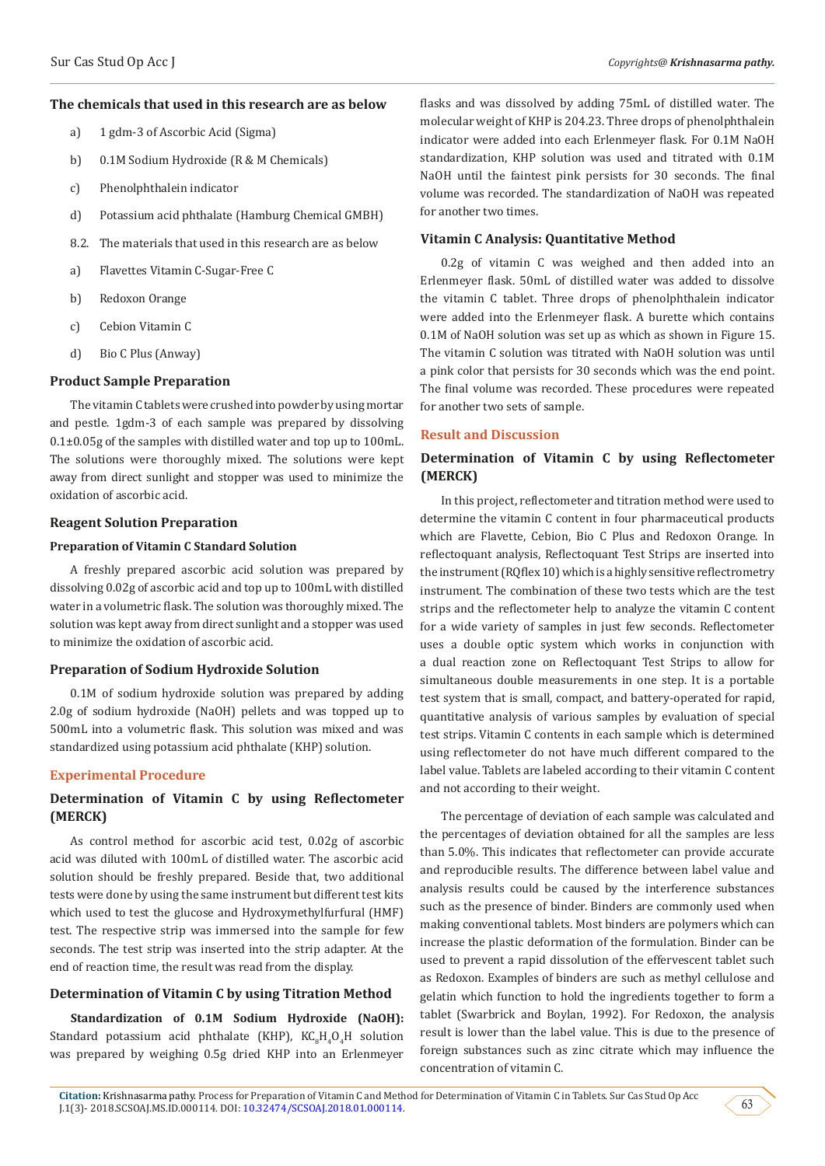#### **The chemicals that used in this research are as below**

- a) 1 gdm-3 of Ascorbic Acid (Sigma)
- b) 0.1M Sodium Hydroxide (R & M Chemicals)
- c) Phenolphthalein indicator
- d) Potassium acid phthalate (Hamburg Chemical GMBH)
- 8.2. The materials that used in this research are as below
- a) Flavettes Vitamin C-Sugar-Free C
- b) Redoxon Orange
- c) Cebion Vitamin C
- d) Bio C Plus (Anway)

#### **Product Sample Preparation**

The vitamin C tablets were crushed into powder by using mortar and pestle. 1gdm-3 of each sample was prepared by dissolving 0.1±0.05g of the samples with distilled water and top up to 100mL. The solutions were thoroughly mixed. The solutions were kept away from direct sunlight and stopper was used to minimize the oxidation of ascorbic acid.

## **Reagent Solution Preparation**

### **Preparation of Vitamin C Standard Solution**

A freshly prepared ascorbic acid solution was prepared by dissolving 0.02g of ascorbic acid and top up to 100mL with distilled water in a volumetric flask. The solution was thoroughly mixed. The solution was kept away from direct sunlight and a stopper was used to minimize the oxidation of ascorbic acid.

## **Preparation of Sodium Hydroxide Solution**

0.1M of sodium hydroxide solution was prepared by adding 2.0g of sodium hydroxide (NaOH) pellets and was topped up to 500mL into a volumetric flask. This solution was mixed and was standardized using potassium acid phthalate (KHP) solution.

## **Experimental Procedure**

# **Determination of Vitamin C by using Reflectometer (MERCK)**

As control method for ascorbic acid test, 0.02g of ascorbic acid was diluted with 100mL of distilled water. The ascorbic acid solution should be freshly prepared. Beside that, two additional tests were done by using the same instrument but different test kits which used to test the glucose and Hydroxymethylfurfural (HMF) test. The respective strip was immersed into the sample for few seconds. The test strip was inserted into the strip adapter. At the end of reaction time, the result was read from the display.

#### **Determination of Vitamin C by using Titration Method**

**Standardization of 0.1M Sodium Hydroxide (NaOH):**  Standard potassium acid phthalate (KHP),  $\rm KC_sH_4O_4H$  solution was prepared by weighing 0.5g dried KHP into an Erlenmeyer

flasks and was dissolved by adding 75mL of distilled water. The molecular weight of KHP is 204.23. Three drops of phenolphthalein indicator were added into each Erlenmeyer flask. For 0.1M NaOH standardization, KHP solution was used and titrated with 0.1M NaOH until the faintest pink persists for 30 seconds. The final volume was recorded. The standardization of NaOH was repeated for another two times.

## **Vitamin C Analysis: Quantitative Method**

0.2g of vitamin C was weighed and then added into an Erlenmeyer flask. 50mL of distilled water was added to dissolve the vitamin C tablet. Three drops of phenolphthalein indicator were added into the Erlenmeyer flask. A burette which contains 0.1M of NaOH solution was set up as which as shown in Figure 15. The vitamin C solution was titrated with NaOH solution was until a pink color that persists for 30 seconds which was the end point. The final volume was recorded. These procedures were repeated for another two sets of sample.

#### **Result and Discussion**

## **Determination of Vitamin C by using Reflectometer (MERCK)**

In this project, reflectometer and titration method were used to determine the vitamin C content in four pharmaceutical products which are Flavette, Cebion, Bio C Plus and Redoxon Orange. In reflectoquant analysis, Reflectoquant Test Strips are inserted into the instrument (RQflex 10) which is a highly sensitive reflectrometry instrument. The combination of these two tests which are the test strips and the reflectometer help to analyze the vitamin C content for a wide variety of samples in just few seconds. Reflectometer uses a double optic system which works in conjunction with a dual reaction zone on Reflectoquant Test Strips to allow for simultaneous double measurements in one step. It is a portable test system that is small, compact, and battery-operated for rapid, quantitative analysis of various samples by evaluation of special test strips. Vitamin C contents in each sample which is determined using reflectometer do not have much different compared to the label value. Tablets are labeled according to their vitamin C content and not according to their weight.

The percentage of deviation of each sample was calculated and the percentages of deviation obtained for all the samples are less than 5.0%. This indicates that reflectometer can provide accurate and reproducible results. The difference between label value and analysis results could be caused by the interference substances such as the presence of binder. Binders are commonly used when making conventional tablets. Most binders are polymers which can increase the plastic deformation of the formulation. Binder can be used to prevent a rapid dissolution of the effervescent tablet such as Redoxon. Examples of binders are such as methyl cellulose and gelatin which function to hold the ingredients together to form a tablet (Swarbrick and Boylan, 1992). For Redoxon, the analysis result is lower than the label value. This is due to the presence of foreign substances such as zinc citrate which may influence the concentration of vitamin C.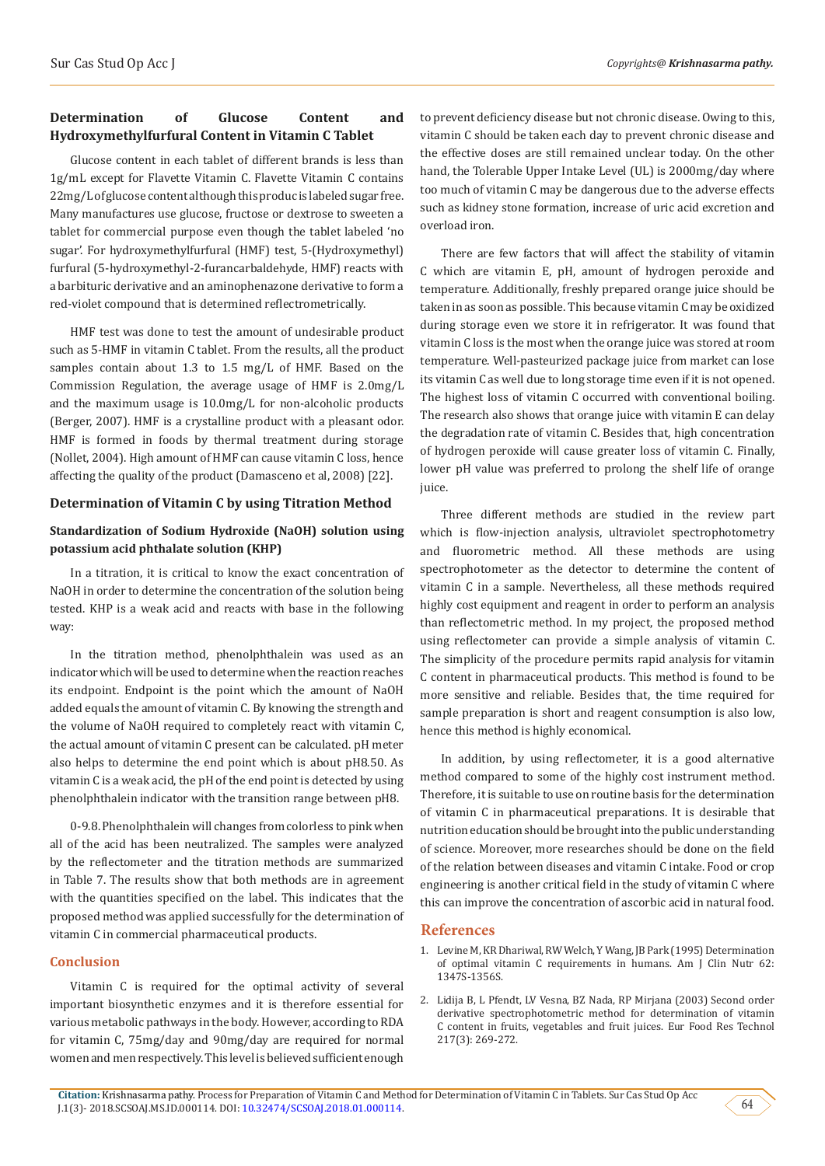# **Determination of Glucose Content and Hydroxymethylfurfural Content in Vitamin C Tablet**

Glucose content in each tablet of different brands is less than 1g/mL except for Flavette Vitamin C. Flavette Vitamin C contains 22mg/L of glucose content although this produc is labeled sugar free. Many manufactures use glucose, fructose or dextrose to sweeten a tablet for commercial purpose even though the tablet labeled 'no sugar'. For hydroxymethylfurfural (HMF) test, 5-(Hydroxymethyl) furfural (5-hydroxymethyl-2-furancarbaldehyde, HMF) reacts with a barbituric derivative and an aminophenazone derivative to form a red-violet compound that is determined reflectrometrically.

HMF test was done to test the amount of undesirable product such as 5-HMF in vitamin C tablet. From the results, all the product samples contain about 1.3 to 1.5 mg/L of HMF. Based on the Commission Regulation, the average usage of HMF is 2.0mg/L and the maximum usage is 10.0mg/L for non-alcoholic products (Berger, 2007). HMF is a crystalline product with a pleasant odor. HMF is formed in foods by thermal treatment during storage (Nollet, 2004). High amount of HMF can cause vitamin C loss, hence affecting the quality of the product (Damasceno et al, 2008) [22].

## **Determination of Vitamin C by using Titration Method**

## **Standardization of Sodium Hydroxide (NaOH) solution using potassium acid phthalate solution (KHP)**

In a titration, it is critical to know the exact concentration of NaOH in order to determine the concentration of the solution being tested. KHP is a weak acid and reacts with base in the following way:

In the titration method, phenolphthalein was used as an indicator which will be used to determine when the reaction reaches its endpoint. Endpoint is the point which the amount of NaOH added equals the amount of vitamin C. By knowing the strength and the volume of NaOH required to completely react with vitamin C, the actual amount of vitamin C present can be calculated. pH meter also helps to determine the end point which is about pH8.50. As vitamin C is a weak acid, the pH of the end point is detected by using phenolphthalein indicator with the transition range between pH8.

0-9.8. Phenolphthalein will changes from colorless to pink when all of the acid has been neutralized. The samples were analyzed by the reflectometer and the titration methods are summarized in Table 7. The results show that both methods are in agreement with the quantities specified on the label. This indicates that the proposed method was applied successfully for the determination of vitamin C in commercial pharmaceutical products.

## **Conclusion**

Vitamin C is required for the optimal activity of several important biosynthetic enzymes and it is therefore essential for various metabolic pathways in the body. However, according to RDA for vitamin C, 75mg/day and 90mg/day are required for normal women and men respectively. This level is believed sufficient enough

to prevent deficiency disease but not chronic disease. Owing to this, vitamin C should be taken each day to prevent chronic disease and the effective doses are still remained unclear today. On the other hand, the Tolerable Upper Intake Level (UL) is 2000mg/day where too much of vitamin C may be dangerous due to the adverse effects such as kidney stone formation, increase of uric acid excretion and overload iron.

There are few factors that will affect the stability of vitamin C which are vitamin E, pH, amount of hydrogen peroxide and temperature. Additionally, freshly prepared orange juice should be taken in as soon as possible. This because vitamin C may be oxidized during storage even we store it in refrigerator. It was found that vitamin C loss is the most when the orange juice was stored at room temperature. Well-pasteurized package juice from market can lose its vitamin C as well due to long storage time even if it is not opened. The highest loss of vitamin C occurred with conventional boiling. The research also shows that orange juice with vitamin E can delay the degradation rate of vitamin C. Besides that, high concentration of hydrogen peroxide will cause greater loss of vitamin C. Finally, lower pH value was preferred to prolong the shelf life of orange juice.

Three different methods are studied in the review part which is flow-injection analysis, ultraviolet spectrophotometry and fluorometric method. All these methods are using spectrophotometer as the detector to determine the content of vitamin C in a sample. Nevertheless, all these methods required highly cost equipment and reagent in order to perform an analysis than reflectometric method. In my project, the proposed method using reflectometer can provide a simple analysis of vitamin C. The simplicity of the procedure permits rapid analysis for vitamin C content in pharmaceutical products. This method is found to be more sensitive and reliable. Besides that, the time required for sample preparation is short and reagent consumption is also low, hence this method is highly economical.

In addition, by using reflectometer, it is a good alternative method compared to some of the highly cost instrument method. Therefore, it is suitable to use on routine basis for the determination of vitamin C in pharmaceutical preparations. It is desirable that nutrition education should be brought into the public understanding of science. Moreover, more researches should be done on the field of the relation between diseases and vitamin C intake. Food or crop engineering is another critical field in the study of vitamin C where this can improve the concentration of ascorbic acid in natural food.

### **References**

- 1. [Levine M, KR Dhariwal, RW Welch, Y Wang, JB Park \(1995\) Determination](https://academic.oup.com/ajcn/article-abstract/62/6/1347S/4651976?redirectedFrom=PDF) [of optimal vitamin C requirements in humans. Am J Clin Nutr 62:](https://academic.oup.com/ajcn/article-abstract/62/6/1347S/4651976?redirectedFrom=PDF) [1347S-1356S.](https://academic.oup.com/ajcn/article-abstract/62/6/1347S/4651976?redirectedFrom=PDF)
- 2. [Lidija B, L Pfendt, LV Vesna, BZ Nada, RP Mirjana \(2003\) Second order](https://link.springer.com/article/10.1007/s00217-003-0746-8) [derivative spectrophotometric method for determination of vitamin](https://link.springer.com/article/10.1007/s00217-003-0746-8) [C content in fruits, vegetables and fruit juices. Eur Food Res Technol](https://link.springer.com/article/10.1007/s00217-003-0746-8) [217\(3\): 269-272.](https://link.springer.com/article/10.1007/s00217-003-0746-8)